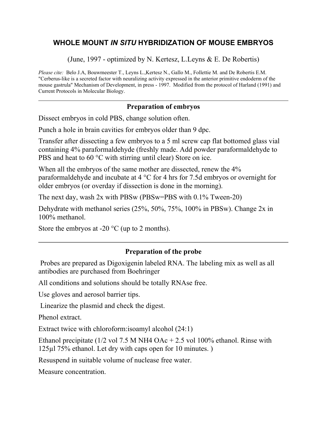### **WHOLE MOUNT** *IN SITU* **HYBRIDIZATION OF MOUSE EMBRYOS**

(June, 1997 - optimized by N. Kertesz, L.Leyns & E. De Robertis)

*Please cite:* Belo J.A, Bouwmeester T., Leyns L.,Kertesz N., Gallo M., Follettie M. and De Robertis E.M. "Cerberus-like is a secreted factor with neuralizing activity expressed in the anterior primitive endoderm of the mouse gastrula" Mechanism of Development, in press - 1997. Modified from the protocol of Harland (1991) and Current Protocols in Molecular Biology.

#### **Preparation of embryos**

Dissect embryos in cold PBS, change solution often.

Punch a hole in brain cavities for embryos older than 9 dpc.

Transfer after dissecting a few embryos to a 5 ml screw cap flat bottomed glass vial containing 4% paraformaldehyde (freshly made. Add powder paraformaldehyde to PBS and heat to 60 °C with stirring until clear) Store on ice.

When all the embryos of the same mother are dissected, renew the  $4\%$ paraformaldehyde and incubate at 4 °C for 4 hrs for 7.5d embryos or overnight for older embryos (or overday if dissection is done in the morning).

The next day, wash 2x with PBSw (PBSw=PBS with 0.1% Tween-20)

Dehydrate with methanol series (25%, 50%, 75%, 100% in PBSw). Change 2x in 100% methanol.

Store the embryos at -20  $\mathrm{^{\circ}C}$  (up to 2 months).

#### **Preparation of the probe**

 Probes are prepared as Digoxigenin labeled RNA. The labeling mix as well as all antibodies are purchased from Boehringer

All conditions and solutions should be totally RNAse free.

Use gloves and aerosol barrier tips.

Linearize the plasmid and check the digest.

Phenol extract.

Extract twice with chloroform:isoamyl alcohol (24:1)

Ethanol precipitate (1/2 vol 7.5 M NH4 OAc + 2.5 vol 100% ethanol. Rinse with 125µl 75% ethanol. Let dry with caps open for 10 minutes. )

Resuspend in suitable volume of nuclease free water.

Measure concentration.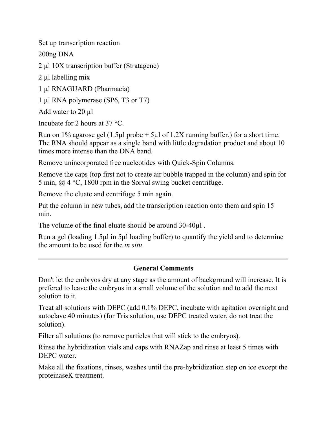Set up transcription reaction

200ng DNA

2 µl 10X transcription buffer (Stratagene)

2 µl labelling mix

1 µl RNAGUARD (Pharmacia)

1 µl RNA polymerase (SP6, T3 or T7)

Add water to 20 µl

Incubate for 2 hours at 37 °C.

Run on 1% agarose gel  $(1.5\mu l \text{ probe} + 5\mu l \text{ of } 1.2X \text{ running buffer})$  for a short time. The RNA should appear as a single band with little degradation product and about 10 times more intense than the DNA band.

Remove unincorporated free nucleotides with Quick-Spin Columns.

Remove the caps (top first not to create air bubble trapped in the column) and spin for 5 min,  $\omega$  4 °C, 1800 rpm in the Sorval swing bucket centrifuge.

Remove the eluate and centrifuge 5 min again.

Put the column in new tubes, add the transcription reaction onto them and spin 15 min.

The volume of the final eluate should be around 30-40µl .

Run a gel (loading 1.5µl in 5µl loading buffer) to quantify the yield and to determine the amount to be used for the *in situ*.

### **General Comments**

Don't let the embryos dry at any stage as the amount of background will increase. It is prefered to leave the embryos in a small volume of the solution and to add the next solution to it.

Treat all solutions with DEPC (add 0.1% DEPC, incubate with agitation overnight and autoclave 40 minutes) (for Tris solution, use DEPC treated water, do not treat the solution).

Filter all solutions (to remove particles that will stick to the embryos).

Rinse the hybridization vials and caps with RNAZap and rinse at least 5 times with DEPC water.

Make all the fixations, rinses, washes until the pre-hybridization step on ice except the proteinaseK treatment.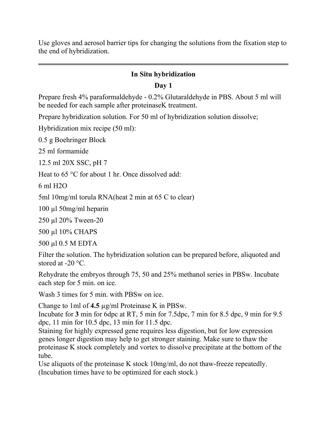Use gloves and aerosol barrier tips for changing the solutions from the fixation step to the end of hybridization.

### **In Situ hybridization**

### **Day 1**

Prepare fresh 4% paraformaldehyde - 0.2% Glutaraldehyde in PBS. About 5 ml will be needed for each sample after proteinaseK treatment.

Prepare hybridization solution. For 50 ml of hybridization solution dissolve;

Hybridization mix recipe (50 ml):

0.5 g Boehringer Block

25 ml formamide

12.5 ml 20X SSC, pH 7

Heat to 65 °C for about 1 hr. Once dissolved add:

6 ml H2O

5ml 10mg/ml torula RNA(heat 2 min at 65 C to clear)

100 µl 50mg/ml heparin

250 µl 20% Tween-20

500 µl 10% CHAPS

500 µl 0.5 M EDTA

Filter the solution. The hybridization solution can be prepared before, aliquoted and stored at -20 °C.

Rehydrate the embryos through 75, 50 and 25% methanol series in PBSw. Incubate each step for 5 min. on ice.

Wash 3 times for 5 min. with PBSw on ice.

Change to 1ml of **4.5** µg/ml Proteinase K in PBSw.

Incubate for **3** min for 6dpc at RT, 5 min for 7.5dpc, 7 min for 8.5 dpc, 9 min for 9.5 dpc, 11 min for 10.5 dpc, 13 min for 11.5 dpc.

Staining for highly expressed gene requires less digestion, but for low expression genes longer digestion may help to get stronger staining. Make sure to thaw the proteinase K stock completely and vortex to dissolve precipitate at the bottom of the tube.

Use aliquots of the proteinase K stock 10mg/ml, do not thaw-freeze repeatedly. (Incubation times have to be optimized for each stock.)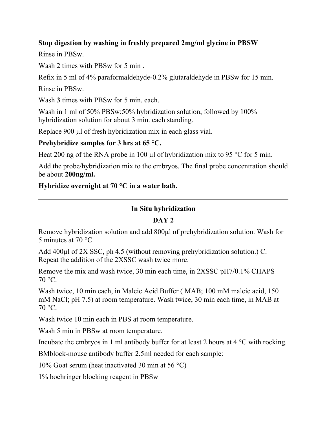### **Stop digestion by washing in freshly prepared 2mg/ml glycine in PBSW**

Rinse in PBSw.

Wash 2 times with PBSw for 5 min .

Refix in 5 ml of 4% paraformaldehyde-0.2% glutaraldehyde in PBSw for 15 min. Rinse in PBSw.

Wash **3** times with PBSw for 5 min. each.

Wash in 1 ml of 50% PBSw:50% hybridization solution, followed by 100% hybridization solution for about 3 min. each standing.

Replace 900 µl of fresh hybridization mix in each glass vial.

## **Prehybridize samples for 3 hrs at 65 °C.**

Heat 200 ng of the RNA probe in 100  $\mu$ l of hybridization mix to 95 °C for 5 min.

Add the probe/hybridization mix to the embryos. The final probe concentration should be about **200ng/ml.**

### **Hybridize overnight at 70 °C in a water bath.**

### **In Situ hybridization**

## **DAY 2**

Remove hybridization solution and add 800µl of prehybridization solution. Wash for 5 minutes at 70 °C.

Add 400µl of 2X SSC, ph 4.5 (without removing prehybridization solution.) C. Repeat the addition of the 2XSSC wash twice more.

Remove the mix and wash twice, 30 min each time, in 2XSSC pH7/0.1% CHAPS  $70^{\circ}$ C.

Wash twice, 10 min each, in Maleic Acid Buffer ( MAB; 100 mM maleic acid, 150 mM NaCl; pH 7.5) at room temperature. Wash twice, 30 min each time, in MAB at  $70^{\circ}$ C.

Wash twice 10 min each in PBS at room temperature.

Wash 5 min in PBSw at room temperature.

Incubate the embryos in 1 ml antibody buffer for at least 2 hours at 4  $\rm{°C}$  with rocking.

BMblock-mouse antibody buffer 2.5ml needed for each sample:

10% Goat serum (heat inactivated 30 min at 56  $^{\circ}$ C)

1% boehringer blocking reagent in PBSw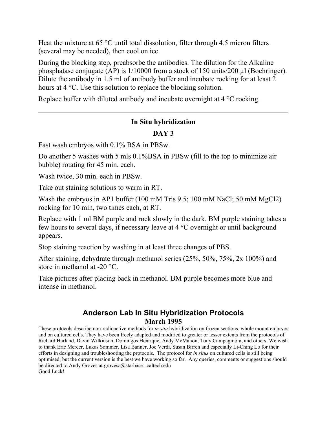Heat the mixture at 65 °C until total dissolution, filter through 4.5 micron filters (several may be needed), then cool on ice.

During the blocking step, preabsorbe the antibodies. The dilution for the Alkaline phosphatase conjugate (AP) is  $1/10000$  from a stock of 150 units/200 µl (Boehringer). Dilute the antibody in 1.5 ml of antibody buffer and incubate rocking for at least 2 hours at 4 °C. Use this solution to replace the blocking solution.

Replace buffer with diluted antibody and incubate overnight at 4 °C rocking.

### **In Situ hybridization**

## **DAY 3**

Fast wash embryos with 0.1% BSA in PBSw.

Do another 5 washes with 5 mls  $0.1\%$ BSA in PBSw (fill to the top to minimize air bubble) rotating for 45 min. each.

Wash twice, 30 min. each in PBSw.

Take out staining solutions to warm in RT.

Wash the embryos in AP1 buffer (100 mM Tris 9.5; 100 mM NaCl; 50 mM MgCl2) rocking for 10 min, two times each, at RT.

Replace with 1 ml BM purple and rock slowly in the dark. BM purple staining takes a few hours to several days, if necessary leave at 4 °C overnight or until background appears.

Stop staining reaction by washing in at least three changes of PBS.

After staining, dehydrate through methanol series (25%, 50%, 75%, 2x 100%) and store in methanol at -20 °C.

Take pictures after placing back in methanol. BM purple becomes more blue and intense in methanol.

## **Anderson Lab In Situ Hybridization Protocols March 1995**

These protocols describe non-radioactive methods for *in situ* hybridization on frozen sections, whole mount embryos and on cultured cells. They have been freely adapted and modified to greater or lesser extents from the protocols of Richard Harland, David Wilkinson, Domingos Henrique, Andy McMahon, Tony Campagnioni, and others. We wish to thank Eric Mercer, Lukas Sommer, Lisa Banner, Joe Verdi, Susan Birren and especially Li-Ching Lo for their efforts in designing and troubleshooting the protocols. The protocol for *in situs* on cultured cells is still being optimised, but the current version is the best we have working so far. Any queries, comments or suggestions should be directed to Andy Groves at grovesa@starbase1.caltech.edu Good Luck!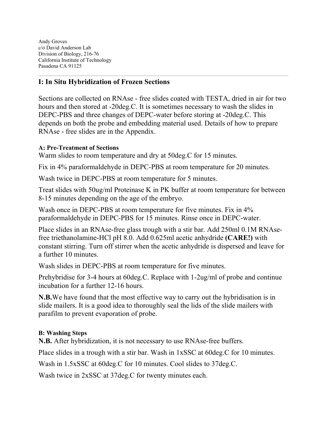Andy Groves c/o David Anderson Lab Division of Biology, 216-76 California Institute of Technology Pasadena CA 91125

### **I: In Situ Hybridization of Frozen Sections**

Sections are collected on RNAse - free slides coated with TESTA, dried in air for two hours and then stored at -20deg.C. It is sometimes necessary to wash the slides in DEPC-PBS and three changes of DEPC-water before storing at -20deg.C. This depends on both the probe and embedding material used. Details of how to prepare RNAse - free slides are in the Appendix.

#### **A: Pre-Treatment of Sections**

Warm slides to room temperature and dry at 50deg.C for 15 minutes.

Fix in 4% paraformaldehyde in DEPC-PBS at room temperature for 20 minutes.

Wash twice in DEPC-PBS at room temperature for 5 minutes.

Treat slides with 50ug/ml Proteinase K in PK buffer at room temperature for between 8-15 minutes depending on the age of the embryo.

Wash once in DEPC-PBS at room temperature for five minutes. Fix in  $4\%$ paraformaldehyde in DEPC-PBS for 15 minutes. Rinse once in DEPC-water.

Place slides in an RNAse-free glass trough with a stir bar. Add 250ml 0.1M RNAsefree triethanolamine-HCl pH 8.0. Add 0.625ml acetic anhydride **(CARE!)** with constant stirring. Turn off stirrer when the acetic anhydride is dispersed and leave for a further 10 minutes.

Wash slides in DEPC-PBS at room temperature for five minutes.

Prehybridise for 3-4 hours at 60deg.C. Replace with 1-2ug/ml of probe and continue incubation for a further 12-16 hours.

**N.B.**We have found that the most effective way to carry out the hybridisation is in slide mailers. It is a good idea to thoroughly seal the lids of the slide mailers with parafilm to prevent evaporation of probe.

#### **B: Washing Steps**

**N.B.** After hybridization, it is not necessary to use RNAse-free buffers.

Place slides in a trough with a stir bar. Wash in 1xSSC at 60deg.C for 10 minutes.

Wash in 1.5xSSC at 60deg.C for 10 minutes. Cool slides to 37deg.C.

Wash twice in 2xSSC at 37deg.C for twenty minutes each.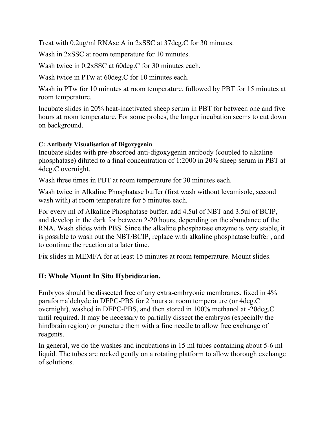Treat with 0.2ug/ml RNAse A in 2xSSC at 37deg.C for 30 minutes.

Wash in 2xSSC at room temperature for 10 minutes.

Wash twice in 0.2xSSC at 60deg.C for 30 minutes each.

Wash twice in PTw at 60deg.C for 10 minutes each.

Wash in PTw for 10 minutes at room temperature, followed by PBT for 15 minutes at room temperature.

Incubate slides in 20% heat-inactivated sheep serum in PBT for between one and five hours at room temperature. For some probes, the longer incubation seems to cut down on background.

#### **C: Antibody Visualisation of Digoxygenin**

Incubate slides with pre-absorbed anti-digoxygenin antibody (coupled to alkaline phosphatase) diluted to a final concentration of 1:2000 in 20% sheep serum in PBT at 4deg.C overnight.

Wash three times in PBT at room temperature for 30 minutes each.

Wash twice in Alkaline Phosphatase buffer (first wash without levamisole, second wash with) at room temperature for 5 minutes each.

For every ml of Alkaline Phosphatase buffer, add 4.5ul of NBT and 3.5ul of BCIP, and develop in the dark for between 2-20 hours, depending on the abundance of the RNA. Wash slides with PBS. Since the alkaline phosphatase enzyme is very stable, it is possible to wash out the NBT/BCIP, replace with alkaline phosphatase buffer , and to continue the reaction at a later time.

Fix slides in MEMFA for at least 15 minutes at room temperature. Mount slides.

### **II: Whole Mount In Situ Hybridization.**

Embryos should be dissected free of any extra-embryonic membranes, fixed in 4% paraformaldehyde in DEPC-PBS for 2 hours at room temperature (or 4deg.C overnight), washed in DEPC-PBS, and then stored in 100% methanol at -20deg.C until required. It may be necessary to partially dissect the embryos (especially the hindbrain region) or puncture them with a fine needle to allow free exchange of reagents.

In general, we do the washes and incubations in 15 ml tubes containing about 5-6 ml liquid. The tubes are rocked gently on a rotating platform to allow thorough exchange of solutions.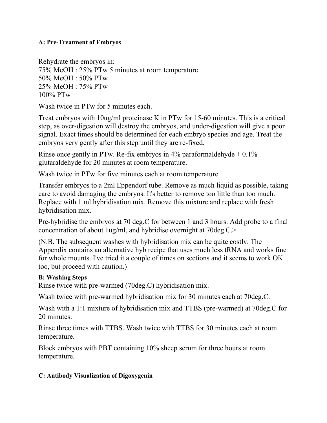#### **A: Pre-Treatment of Embryos**

Rehydrate the embryos in: 75% MeOH : 25% PTw 5 minutes at room temperature 50% MeOH : 50% PTw 25% MeOH : 75% PTw 100% PTw

Wash twice in PTw for 5 minutes each.

Treat embryos with 10ug/ml proteinase K in PTw for 15-60 minutes. This is a critical step, as over-digestion will destroy the embryos, and under-digestion will give a poor signal. Exact times should be determined for each embryo species and age. Treat the embryos very gently after this step until they are re-fixed.

Rinse once gently in PTw. Re-fix embryos in  $4\%$  paraformaldehyde  $+0.1\%$ glutaraldehyde for 20 minutes at room temperature.

Wash twice in PTw for five minutes each at room temperature.

Transfer embryos to a 2ml Eppendorf tube. Remove as much liquid as possible, taking care to avoid damaging the embryos. It's better to remove too little than too much. Replace with 1 ml hybridisation mix. Remove this mixture and replace with fresh hybridisation mix.

Pre-hybridise the embryos at 70 deg.C for between 1 and 3 hours. Add probe to a final concentration of about 1ug/ml, and hybridise overnight at 70deg.C.>

(N.B. The subsequent washes with hybridisation mix can be quite costly. The Appendix contains an alternative hyb recipe that uses much less tRNA and works fine for whole mounts. I've tried it a couple of times on sections and it seems to work OK too, but proceed with caution.)

#### **B: Washing Steps**

Rinse twice with pre-warmed (70deg.C) hybridisation mix.

Wash twice with pre-warmed hybridisation mix for 30 minutes each at 70deg.C.

Wash with a 1:1 mixture of hybridisation mix and TTBS (pre-warmed) at 70deg.C for 20 minutes.

Rinse three times with TTBS. Wash twice with TTBS for 30 minutes each at room temperature.

Block embryos with PBT containing 10% sheep serum for three hours at room temperature.

#### **C: Antibody Visualization of Digoxygenin**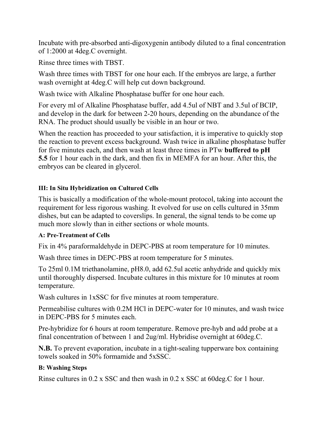Incubate with pre-absorbed anti-digoxygenin antibody diluted to a final concentration of 1:2000 at 4deg.C overnight.

Rinse three times with TBST.

Wash three times with TBST for one hour each. If the embryos are large, a further wash overnight at 4deg.C will help cut down background.

Wash twice with Alkaline Phosphatase buffer for one hour each.

For every ml of Alkaline Phosphatase buffer, add 4.5ul of NBT and 3.5ul of BCIP, and develop in the dark for between 2-20 hours, depending on the abundance of the RNA. The product should usually be visible in an hour or two.

When the reaction has proceeded to your satisfaction, it is imperative to quickly stop the reaction to prevent excess background. Wash twice in alkaline phosphatase buffer for five minutes each, and then wash at least three times in PTw **buffered to pH 5.5** for 1 hour each in the dark, and then fix in MEMFA for an hour. After this, the embryos can be cleared in glycerol.

## **III: In Situ Hybridization on Cultured Cells**

This is basically a modification of the whole-mount protocol, taking into account the requirement for less rigorous washing. It evolved for use on cells cultured in 35mm dishes, but can be adapted to coverslips. In general, the signal tends to be come up much more slowly than in either sections or whole mounts.

### **A: Pre-Treatment of Cells**

Fix in 4% paraformaldehyde in DEPC-PBS at room temperature for 10 minutes.

Wash three times in DEPC-PBS at room temperature for 5 minutes.

To 25ml 0.1M triethanolamine, pH8.0, add 62.5ul acetic anhydride and quickly mix until thoroughly dispersed. Incubate cultures in this mixture for 10 minutes at room temperature.

Wash cultures in 1xSSC for five minutes at room temperature.

Permeabilise cultures with 0.2M HCl in DEPC-water for 10 minutes, and wash twice in DEPC-PBS for 5 minutes each.

Pre-hybridize for 6 hours at room temperature. Remove pre-hyb and add probe at a final concentration of between 1 and 2ug/ml. Hybridise overnight at 60deg.C.

**N.B.** To prevent evaporation, incubate in a tight-sealing tupperware box containing towels soaked in 50% formamide and 5xSSC.

## **B: Washing Steps**

Rinse cultures in 0.2 x SSC and then wash in 0.2 x SSC at 60deg.C for 1 hour.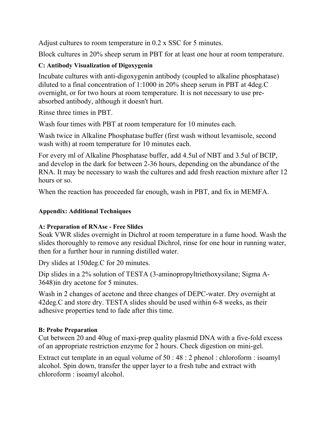Adjust cultures to room temperature in 0.2 x SSC for 5 minutes.

Block cultures in 20% sheep serum in PBT for at least one hour at room temperature.

## **C: Antibody Visualization of Digoxygenin**

Incubate cultures with anti-digoxygenin antibody (coupled to alkaline phosphatase) diluted to a final concentration of 1:1000 in 20% sheep serum in PBT at 4deg.C overnight, or for two hours at room temperature. It is not necessary to use preabsorbed antibody, although it doesn't hurt.

Rinse three times in PBT.

Wash four times with PBT at room temperature for 10 minutes each.

Wash twice in Alkaline Phosphatase buffer (first wash without levamisole, second wash with) at room temperature for 10 minutes each.

For every ml of Alkaline Phosphatase buffer, add 4.5ul of NBT and 3.5ul of BCIP, and develop in the dark for between 2-36 hours, depending on the abundance of the RNA. It may be necessary to wash the cultures and add fresh reaction mixture after 12 hours or so.

When the reaction has proceeded far enough, wash in PBT, and fix in MEMFA.

### **Appendix: Additional Techniques**

### **A: Preparation of RNAse - Free Slides**

Soak VWR slides overnight in Dichrol at room temperature in a fume hood. Wash the slides thoroughly to remove any residual Dichrol, rinse for one hour in running water, then for a further hour in running distilled water.

Dry slides at 150deg.C for 20 minutes.

Dip slides in a 2% solution of TESTA (3-aminopropyltriethoxysilane; Sigma A-3648)in dry acetone for 5 minutes.

Wash in 2 changes of acetone and three changes of DEPC-water. Dry overnight at 42deg.C and store dry. TESTA slides should be used within 6-8 weeks, as their adhesive properties tend to fade after this time.

### **B: Probe Preparation**

Cut between 20 and 40ug of maxi-prep quality plasmid DNA with a five-fold excess of an appropriate restriction enzyme for 2 hours. Check digestion on mini-gel.

Extract cut template in an equal volume of 50 : 48 : 2 phenol : chloroform : isoamyl alcohol. Spin down, transfer the upper layer to a fresh tube and extract with chloroform : isoamyl alcohol.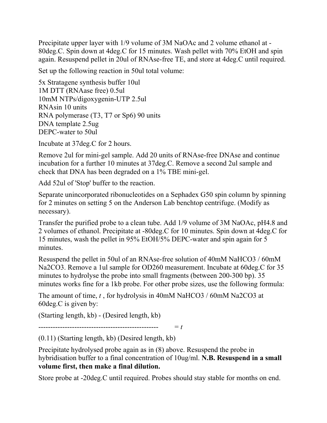Precipitate upper layer with 1/9 volume of 3M NaOAc and 2 volume ethanol at - 80deg.C. Spin down at 4deg.C for 15 minutes. Wash pellet with 70% EtOH and spin again. Resuspend pellet in 20ul of RNAse-free TE, and store at 4deg.C until required.

Set up the following reaction in 50ul total volume:

5x Stratagene synthesis buffer 10ul 1M DTT (RNAase free) 0.5ul 10mM NTPs/digoxygenin-UTP 2.5ul RNAsin 10 units RNA polymerase (T3, T7 or Sp6) 90 units DNA template 2.5ug DEPC-water to 50ul

Incubate at 37deg.C for 2 hours.

Remove 2ul for mini-gel sample. Add 20 units of RNAse-free DNAse and continue incubation for a further 10 minutes at 37deg.C. Remove a second 2ul sample and check that DNA has been degraded on a 1% TBE mini-gel.

Add 52ul of 'Stop' buffer to the reaction.

Separate unincorporated ribonucleotides on a Sephadex G50 spin column by spinning for 2 minutes on setting 5 on the Anderson Lab benchtop centrifuge. (Modify as necessary).

Transfer the purified probe to a clean tube. Add 1/9 volume of 3M NaOAc, pH4.8 and 2 volumes of ethanol. Precipitate at -80deg.C for 10 minutes. Spin down at 4deg.C for 15 minutes, wash the pellet in 95% EtOH/5% DEPC-water and spin again for 5 minutes.

Resuspend the pellet in 50ul of an RNAse-free solution of 40mM NaHCO3 / 60mM Na2CO3. Remove a 1ul sample for OD260 measurement. Incubate at 60deg.C for 35 minutes to hydrolyse the probe into small fragments (between 200-300 bp). 35 minutes works fine for a 1kb probe. For other probe sizes, use the following formula:

The amount of time, *t* , for hydrolysis in 40mM NaHCO3 / 60mM Na2CO3 at 60deg.C is given by:

(Starting length, kb) - (Desired length, kb)

-------------------------------------------------- = *t*

(0.11) (Starting length, kb) (Desired length, kb)

Precipitate hydrolysed probe again as in (8) above. Resuspend the probe in hybridisation buffer to a final concentration of 10ug/ml. **N.B. Resuspend in a small volume first, then make a final dilution.**

Store probe at -20deg.C until required. Probes should stay stable for months on end.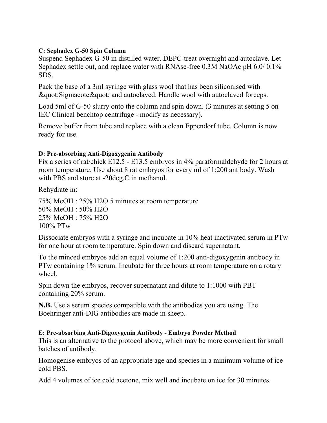#### **C: Sephadex G-50 Spin Column**

Suspend Sephadex G-50 in distilled water. DEPC-treat overnight and autoclave. Let Sephadex settle out, and replace water with RNAse-free 0.3M NaOAc pH 6.0/0.1% SDS.

Pack the base of a 3ml syringe with glass wool that has been siliconised with  $\&$ quot; Sigmacote  $\&$  quot; and autoclaved. Handle wool with autoclaved forceps.

Load 5ml of G-50 slurry onto the column and spin down. (3 minutes at setting 5 on IEC Clinical benchtop centrifuge - modify as necessary).

Remove buffer from tube and replace with a clean Eppendorf tube. Column is now ready for use.

#### **D: Pre-absorbing Anti-Digoxygenin Antibody**

Fix a series of rat/chick E12.5 - E13.5 embryos in 4% paraformaldehyde for 2 hours at room temperature. Use about 8 rat embryos for every ml of 1:200 antibody. Wash with PBS and store at -20deg.C in methanol.

Rehydrate in:

75% MeOH : 25% H2O 5 minutes at room temperature 50% MeOH : 50% H2O 25% MeOH : 75% H2O 100% PTw

Dissociate embryos with a syringe and incubate in 10% heat inactivated serum in PTw for one hour at room temperature. Spin down and discard supernatant.

To the minced embryos add an equal volume of 1:200 anti-digoxygenin antibody in PTw containing 1% serum. Incubate for three hours at room temperature on a rotary wheel.

Spin down the embryos, recover supernatant and dilute to 1:1000 with PBT containing 20% serum.

**N.B.** Use a serum species compatible with the antibodies you are using. The Boehringer anti-DIG antibodies are made in sheep.

#### **E: Pre-absorbing Anti-Digoxygenin Antibody - Embryo Powder Method**  This is an alternative to the protocol above, which may be more convenient for small batches of antibody.

Homogenise embryos of an appropriate age and species in a minimum volume of ice cold PBS.

Add 4 volumes of ice cold acetone, mix well and incubate on ice for 30 minutes.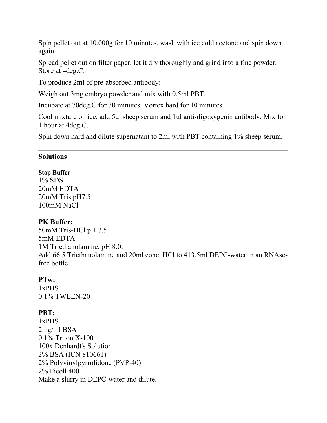Spin pellet out at 10,000g for 10 minutes, wash with ice cold acetone and spin down again.

Spread pellet out on filter paper, let it dry thoroughly and grind into a fine powder. Store at 4deg.C.

To produce 2ml of pre-absorbed antibody:

Weigh out 3mg embryo powder and mix with 0.5ml PBT.

Incubate at 70deg.C for 30 minutes. Vortex hard for 10 minutes.

Cool mixture on ice, add 5ul sheep serum and 1ul anti-digoxygenin antibody. Mix for 1 hour at 4deg.C.

Spin down hard and dilute supernatant to 2ml with PBT containing 1% sheep serum.

#### **Solutions**

#### **Stop Buffer**

1% SDS 20mM EDTA 20mM Tris pH7.5 100mM NaCl

### **PK Buffer:**

50mM Tris-HCl pH 7.5 5mM EDTA 1M Triethanolamine, pH 8.0: Add 66.5 Triethanolamine and 20ml conc. HCl to 413.5ml DEPC-water in an RNAsefree bottle.

### **PTw:**

1xPBS 0.1% TWEEN-20

## **PBT:**

1xPBS 2mg/ml BSA 0.1% Triton X-100 100x Denhardt's Solution 2% BSA (ICN 810661) 2% Polyvinylpyrrolidone (PVP-40) 2% Ficoll 400 Make a slurry in DEPC-water and dilute.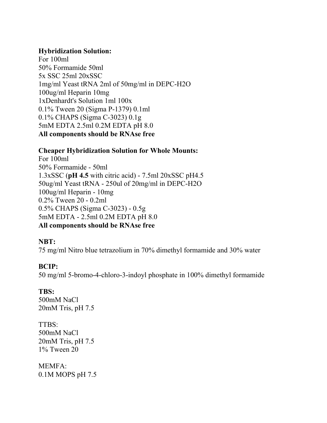#### **Hybridization Solution:**

For 100ml 50% Formamide 50ml 5x SSC 25ml 20xSSC 1mg/ml Yeast tRNA 2ml of 50mg/ml in DEPC-H2O 100ug/ml Heparin 10mg 1xDenhardt's Solution 1ml 100x 0.1% Tween 20 (Sigma P-1379) 0.1ml 0.1% CHAPS (Sigma C-3023) 0.1g 5mM EDTA 2.5ml 0.2M EDTA pH 8.0 **All components should be RNAse free**

#### **Cheaper Hybridization Solution for Whole Mounts:**

For 100ml 50% Formamide - 50ml 1.3xSSC (**pH 4.5** with citric acid) - 7.5ml 20xSSC pH4.5 50ug/ml Yeast tRNA - 250ul of 20mg/ml in DEPC-H2O 100ug/ml Heparin - 10mg 0.2% Tween 20 - 0.2ml 0.5% CHAPS (Sigma C-3023) - 0.5g 5mM EDTA - 2.5ml 0.2M EDTA pH 8.0 **All components should be RNAse free**

### **NBT:**

75 mg/ml Nitro blue tetrazolium in 70% dimethyl formamide and 30% water

### **BCIP:**

50 mg/ml 5-bromo-4-chloro-3-indoyl phosphate in 100% dimethyl formamide

## **TBS:**

500mM NaCl 20mM Tris, pH 7.5

TTBS: 500mM NaCl 20mM Tris, pH 7.5 1% Tween 20

MEMFA: 0.1M MOPS pH 7.5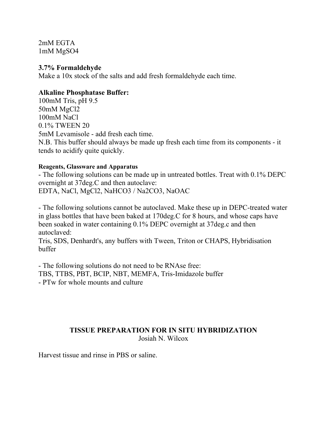2mM EGTA 1mM MgSO4

#### **3.7% Formaldehyde**

Make a 10x stock of the salts and add fresh formaldehyde each time.

#### **Alkaline Phosphatase Buffer:**

100mM Tris, pH 9.5 50mM MgCl2 100mM NaCl 0.1% TWEEN 20 5mM Levamisole - add fresh each time. N.B. This buffer should always be made up fresh each time from its components - it tends to acidify quite quickly.

#### **Reagents, Glassware and Apparatus**

- The following solutions can be made up in untreated bottles. Treat with 0.1% DEPC overnight at 37deg.C and then autoclave: EDTA, NaCl, MgCl2, NaHCO3 / Na2CO3, NaOAC

- The following solutions cannot be autoclaved. Make these up in DEPC-treated water in glass bottles that have been baked at 170deg.C for 8 hours, and whose caps have been soaked in water containing 0.1% DEPC overnight at 37deg.c and then autoclaved:

Tris, SDS, Denhardt's, any buffers with Tween, Triton or CHAPS, Hybridisation buffer

- The following solutions do not need to be RNAse free: TBS, TTBS, PBT, BCIP, NBT, MEMFA, Tris-Imidazole buffer - PTw for whole mounts and culture

### **TISSUE PREPARATION FOR IN SITU HYBRIDIZATION** Josiah N. Wilcox

Harvest tissue and rinse in PBS or saline.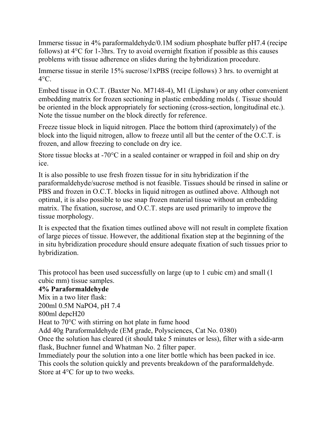Immerse tissue in 4% paraformaldehyde/0.1M sodium phosphate buffer pH7.4 (recipe follows) at 4°C for 1-3hrs. Try to avoid overnight fixation if possible as this causes problems with tissue adherence on slides during the hybridization procedure.

Immerse tissue in sterile 15% sucrose/1xPBS (recipe follows) 3 hrs. to overnight at  $4^{\circ}$ C.

Embed tissue in O.C.T. (Baxter No. M7148-4), M1 (Lipshaw) or any other convenient embedding matrix for frozen sectioning in plastic embedding molds (. Tissue should be oriented in the block appropriately for sectioning (cross-section, longitudinal etc.). Note the tissue number on the block directly for reference.

Freeze tissue block in liquid nitrogen. Place the bottom third (aproximately) of the block into the liquid nitrogen, allow to freeze until all but the center of the O.C.T. is frozen, and allow freezing to conclude on dry ice.

Store tissue blocks at -70°C in a sealed container or wrapped in foil and ship on dry ice.

It is also possible to use fresh frozen tissue for in situ hybridization if the paraformaldehyde/sucrose method is not feasible. Tissues should be rinsed in saline or PBS and frozen in O.C.T. blocks in liquid nitrogen as outlined above. Although not optimal, it is also possible to use snap frozen material tissue without an embedding matrix. The fixation, sucrose, and O.C.T. steps are used primarily to improve the tissue morphology.

It is expected that the fixation times outlined above will not result in complete fixation of large pieces of tissue. However, the additional fixation step at the beginning of the in situ hybridization procedure should ensure adequate fixation of such tissues prior to hybridization.

This protocol has been used successfully on large (up to 1 cubic cm) and small (1 cubic mm) tissue samples.

# **4% Paraformaldehyde**

Mix in a two liter flask:

200ml 0.5M NaPO4, pH 7.4

800ml depcH20

Heat to 70<sup>o</sup>C with stirring on hot plate in fume hood

Add 40g Paraformaldehyde (EM grade, Polysciences, Cat No. 0380)

Once the solution has cleared (it should take 5 minutes or less), filter with a side-arm flask, Buchner funnel and Whatman No. 2 filter paper.

Immediately pour the solution into a one liter bottle which has been packed in ice. This cools the solution quickly and prevents breakdown of the paraformaldehyde. Store at 4°C for up to two weeks.